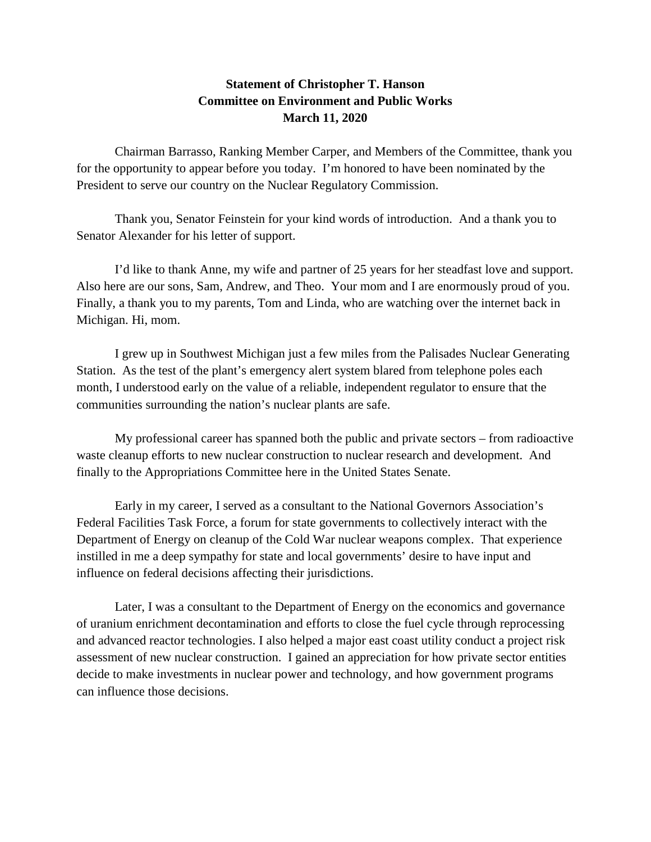## **Statement of Christopher T. Hanson Committee on Environment and Public Works March 11, 2020**

Chairman Barrasso, Ranking Member Carper, and Members of the Committee, thank you for the opportunity to appear before you today. I'm honored to have been nominated by the President to serve our country on the Nuclear Regulatory Commission.

Thank you, Senator Feinstein for your kind words of introduction. And a thank you to Senator Alexander for his letter of support.

I'd like to thank Anne, my wife and partner of 25 years for her steadfast love and support. Also here are our sons, Sam, Andrew, and Theo. Your mom and I are enormously proud of you. Finally, a thank you to my parents, Tom and Linda, who are watching over the internet back in Michigan. Hi, mom.

I grew up in Southwest Michigan just a few miles from the Palisades Nuclear Generating Station. As the test of the plant's emergency alert system blared from telephone poles each month, I understood early on the value of a reliable, independent regulator to ensure that the communities surrounding the nation's nuclear plants are safe.

My professional career has spanned both the public and private sectors – from radioactive waste cleanup efforts to new nuclear construction to nuclear research and development. And finally to the Appropriations Committee here in the United States Senate.

Early in my career, I served as a consultant to the National Governors Association's Federal Facilities Task Force, a forum for state governments to collectively interact with the Department of Energy on cleanup of the Cold War nuclear weapons complex. That experience instilled in me a deep sympathy for state and local governments' desire to have input and influence on federal decisions affecting their jurisdictions.

Later, I was a consultant to the Department of Energy on the economics and governance of uranium enrichment decontamination and efforts to close the fuel cycle through reprocessing and advanced reactor technologies. I also helped a major east coast utility conduct a project risk assessment of new nuclear construction. I gained an appreciation for how private sector entities decide to make investments in nuclear power and technology, and how government programs can influence those decisions.